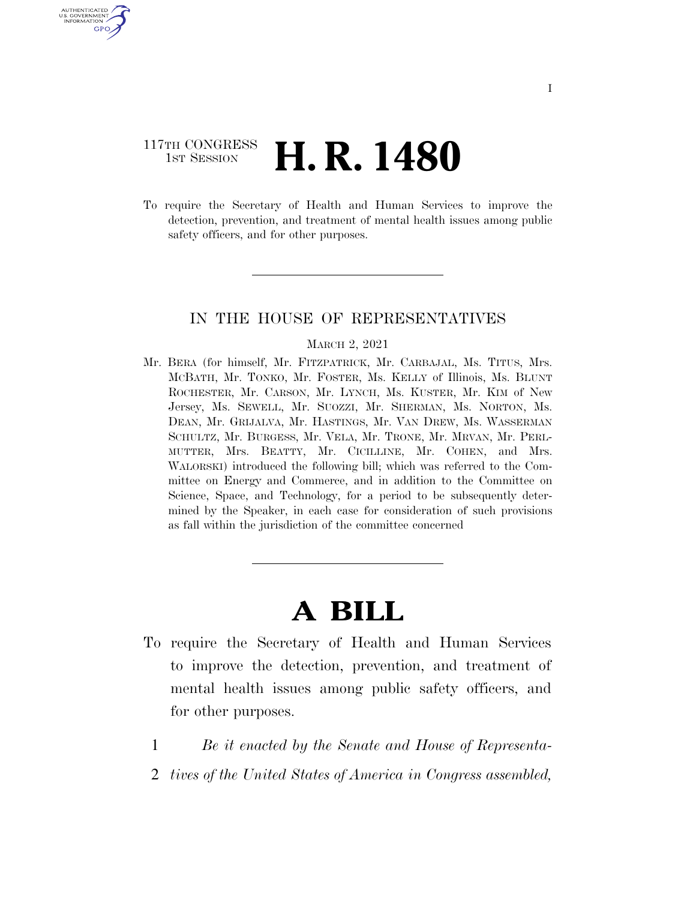### 117TH CONGRESS <sup>TH CONGRESS</sup> **H. R. 1480**

AUTHENTICATED U.S. GOVERNMENT GPO

> To require the Secretary of Health and Human Services to improve the detection, prevention, and treatment of mental health issues among public safety officers, and for other purposes.

#### IN THE HOUSE OF REPRESENTATIVES

#### MARCH 2, 2021

Mr. BERA (for himself, Mr. FITZPATRICK, Mr. CARBAJAL, Ms. TITUS, Mrs. MCBATH, Mr. TONKO, Mr. FOSTER, Ms. KELLY of Illinois, Ms. BLUNT ROCHESTER, Mr. CARSON, Mr. LYNCH, Ms. KUSTER, Mr. KIM of New Jersey, Ms. SEWELL, Mr. SUOZZI, Mr. SHERMAN, Ms. NORTON, Ms. DEAN, Mr. GRIJALVA, Mr. HASTINGS, Mr. VAN DREW, Ms. WASSERMAN SCHULTZ, Mr. BURGESS, Mr. VELA, Mr. TRONE, Mr. MRVAN, Mr. PERL-MUTTER, Mrs. BEATTY, Mr. CICILLINE, Mr. COHEN, and Mrs. WALORSKI) introduced the following bill; which was referred to the Committee on Energy and Commerce, and in addition to the Committee on Science, Space, and Technology, for a period to be subsequently determined by the Speaker, in each case for consideration of such provisions as fall within the jurisdiction of the committee concerned

# **A BILL**

- To require the Secretary of Health and Human Services to improve the detection, prevention, and treatment of mental health issues among public safety officers, and for other purposes.
	- 1 *Be it enacted by the Senate and House of Representa-*
	- 2 *tives of the United States of America in Congress assembled,*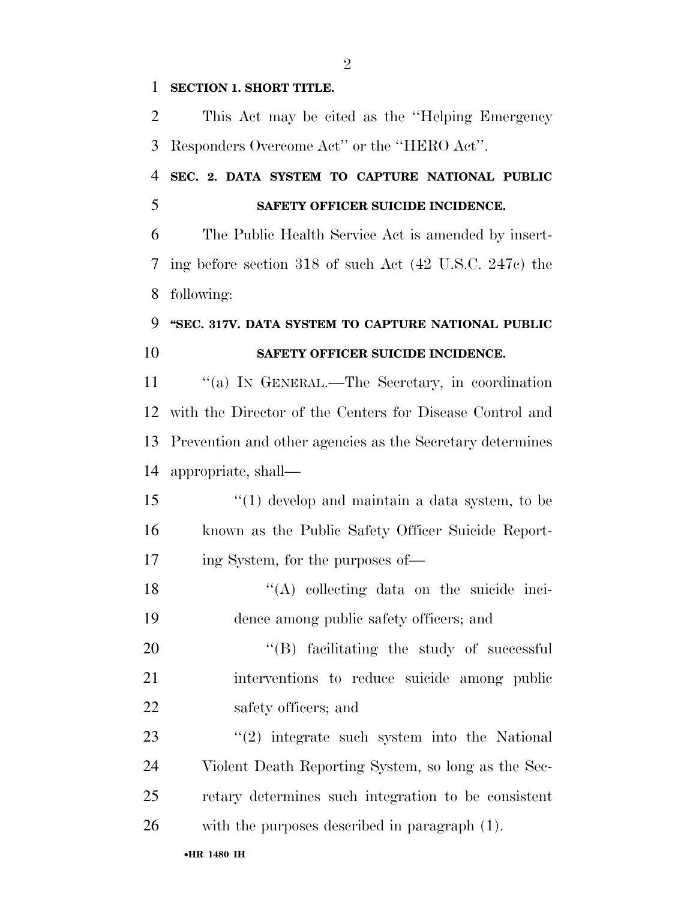#### **SECTION 1. SHORT TITLE.**

 This Act may be cited as the ''Helping Emergency Responders Overcome Act'' or the ''HERO Act''.

 **SEC. 2. DATA SYSTEM TO CAPTURE NATIONAL PUBLIC SAFETY OFFICER SUICIDE INCIDENCE.** 

 The Public Health Service Act is amended by insert- ing before section 318 of such Act (42 U.S.C. 247c) the following:

### **''SEC. 317V. DATA SYSTEM TO CAPTURE NATIONAL PUBLIC SAFETY OFFICER SUICIDE INCIDENCE.**

11 "(a) IN GENERAL.—The Secretary, in coordination with the Director of the Centers for Disease Control and Prevention and other agencies as the Secretary determines appropriate, shall—

 ''(1) develop and maintain a data system, to be known as the Public Safety Officer Suicide Report-ing System, for the purposes of—

 ''(A) collecting data on the suicide inci-dence among public safety officers; and

20 "(B) facilitating the study of successful interventions to reduce suicide among public 22 safety officers; and

23 ''(2) integrate such system into the National Violent Death Reporting System, so long as the Sec- retary determines such integration to be consistent with the purposes described in paragraph (1).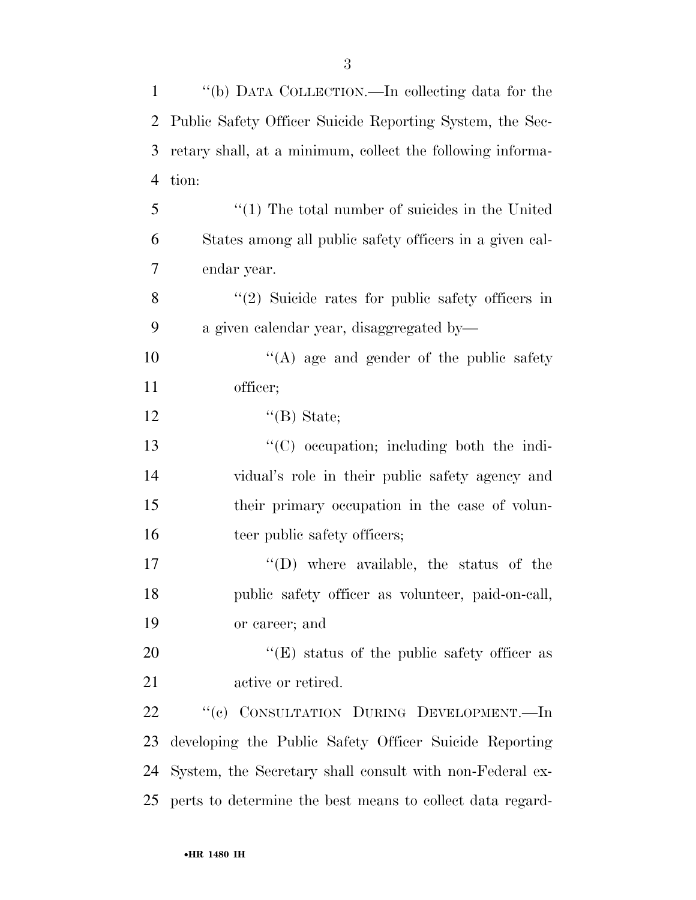| $\mathbf{1}$ | "(b) DATA COLLECTION.—In collecting data for the           |
|--------------|------------------------------------------------------------|
| 2            | Public Safety Officer Suicide Reporting System, the Sec-   |
| 3            | retary shall, at a minimum, collect the following informa- |
| 4            | tion:                                                      |
| 5            | $\lq(1)$ The total number of suicides in the United        |
| 6            | States among all public safety officers in a given cal-    |
| 7            | endar year.                                                |
| 8            | $\lq(2)$ Suicide rates for public safety officers in       |
| 9            | a given calendar year, disaggregated by-                   |
| 10           | $\lq\lq$ age and gender of the public safety               |
| 11           | officer;                                                   |
| 12           | $\lq\lq(B)$ State;                                         |
| 13           | $\lq\lq$ occupation; including both the indi-              |
| 14           | vidual's role in their public safety agency and            |
| 15           | their primary occupation in the case of volun-             |
| 16           | teer public safety officers;                               |
| 17           | $\lq\lq$ (D) where available, the status of the            |
| 18           | public safety officer as volunteer, paid-on-call,          |
| 19           | or career; and                                             |
| 20           | $\lq\lq(E)$ status of the public safety officer as         |
| 21           | active or retired.                                         |
| 22           | "(c) CONSULTATION DURING DEVELOPMENT.—In                   |
| 23           | developing the Public Safety Officer Suicide Reporting     |
| 24           | System, the Secretary shall consult with non-Federal ex-   |
| 25           | perts to determine the best means to collect data regard-  |
|              |                                                            |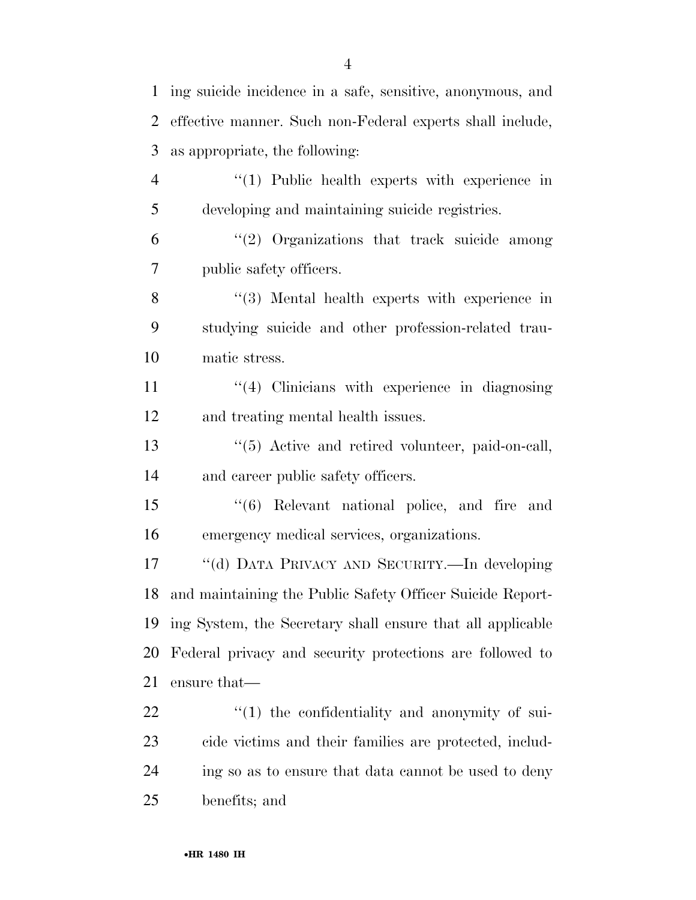ing suicide incidence in a safe, sensitive, anonymous, and effective manner. Such non-Federal experts shall include, as appropriate, the following: 4 "(1) Public health experts with experience in developing and maintaining suicide registries. ''(2) Organizations that track suicide among public safety officers. 8 "(3) Mental health experts with experience in studying suicide and other profession-related trau- matic stress. 11 ''(4) Clinicians with experience in diagnosing and treating mental health issues. 13 ''(5) Active and retired volunteer, paid-on-call, and career public safety officers. ''(6) Relevant national police, and fire and emergency medical services, organizations. ''(d) DATA PRIVACY AND SECURITY.—In developing and maintaining the Public Safety Officer Suicide Report- ing System, the Secretary shall ensure that all applicable Federal privacy and security protections are followed to ensure that—  $\qquad$   $\qquad$   $(1)$  the confidentiality and anonymity of sui- cide victims and their families are protected, includ- ing so as to ensure that data cannot be used to deny benefits; and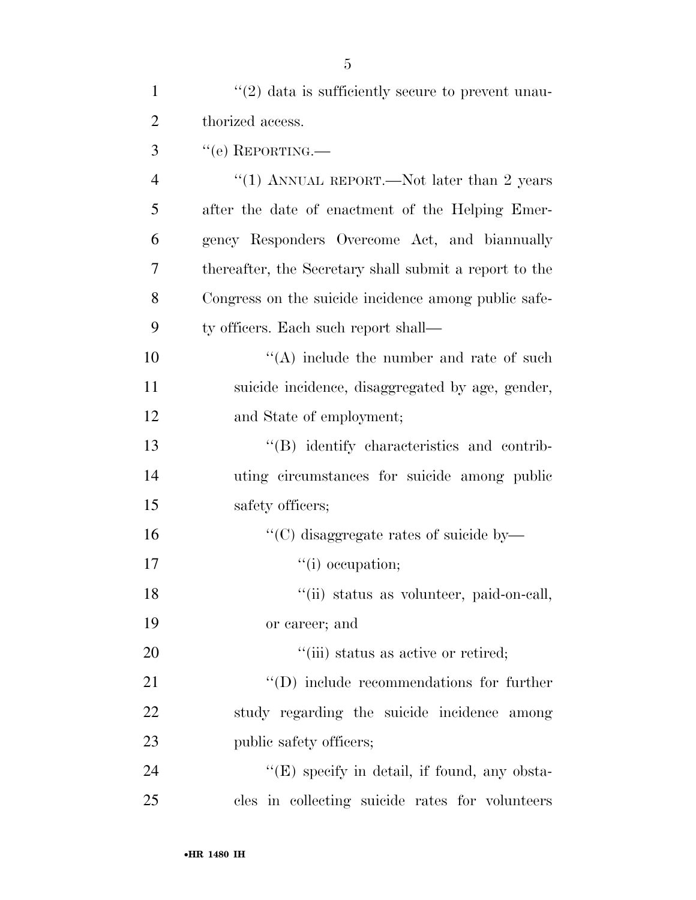| $\mathbf{1}$   | $\lq(2)$ data is sufficiently secure to prevent unau-  |
|----------------|--------------------------------------------------------|
| $\overline{2}$ | thorized access.                                       |
| 3              | $``$ (e) REPORTING.—                                   |
| $\overline{4}$ | "(1) ANNUAL REPORT.—Not later than 2 years             |
| 5              | after the date of enactment of the Helping Emer-       |
| 6              | gency Responders Overcome Act, and biannually          |
| 7              | thereafter, the Secretary shall submit a report to the |
| 8              | Congress on the suicide incidence among public safe-   |
| 9              | ty officers. Each such report shall—                   |
| 10             | $\lq\lq$ include the number and rate of such           |
| 11             | suicide incidence, disaggregated by age, gender,       |
| 12             | and State of employment;                               |
| 13             | "(B) identify characteristics and contrib-             |
| 14             | uting circumstances for suicide among public           |
| 15             | safety officers;                                       |
| 16             | "(C) disaggregate rates of suicide by—                 |
| 17             | "(i) occupation;                                       |
| 18             | "(ii) status as volunteer, paid-on-call,               |
| 19             | or career; and                                         |
| 20             | "(iii) status as active or retired;                    |
| 21             | $\lq\lq$ (D) include recommendations for further       |
| 22             | study regarding the suicide incidence among            |
| 23             | public safety officers;                                |
| 24             | "(E) specify in detail, if found, any obsta-           |
| 25             | cles in collecting suicide rates for volunteers        |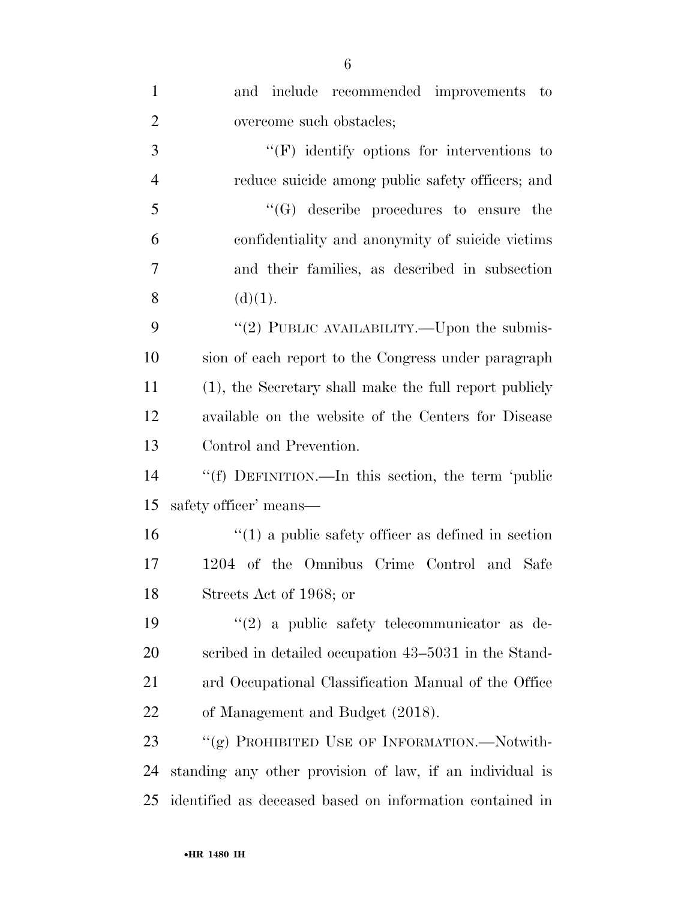| $\mathbf{1}$   | and include recommended improvements to                  |
|----------------|----------------------------------------------------------|
| $\overline{2}$ | overcome such obstacles;                                 |
| 3              | $\lq\lq(F)$ identify options for interventions to        |
| $\overline{4}$ | reduce suicide among public safety officers; and         |
| 5              | $\lq\lq(G)$ describe procedures to ensure the            |
| 6              | confidentiality and anonymity of suicide victims         |
| 7              | and their families, as described in subsection           |
| 8              | (d)(1).                                                  |
| 9              | "(2) PUBLIC AVAILABILITY.—Upon the submis-               |
| 10             | sion of each report to the Congress under paragraph      |
| 11             | (1), the Secretary shall make the full report publicly   |
| 12             | available on the website of the Centers for Disease      |
| 13             | Control and Prevention.                                  |
| 14             | "(f) DEFINITION.—In this section, the term 'public       |
| 15             | safety officer' means—                                   |
| 16             | $\lq(1)$ a public safety officer as defined in section   |
| 17             | 1204 of the Omnibus Crime Control and Safe               |
| 18             | Streets Act of 1968; or                                  |
| 19             | $\lq(2)$ a public safety telecommunicator as de-         |
| 20             | scribed in detailed occupation 43–5031 in the Stand-     |
| 21             | ard Occupational Classification Manual of the Office     |
| 22             | of Management and Budget (2018).                         |
| 23             | "(g) PROHIBITED USE OF INFORMATION.—Notwith-             |
| 24             | standing any other provision of law, if an individual is |
| 25             | identified as deceased based on information contained in |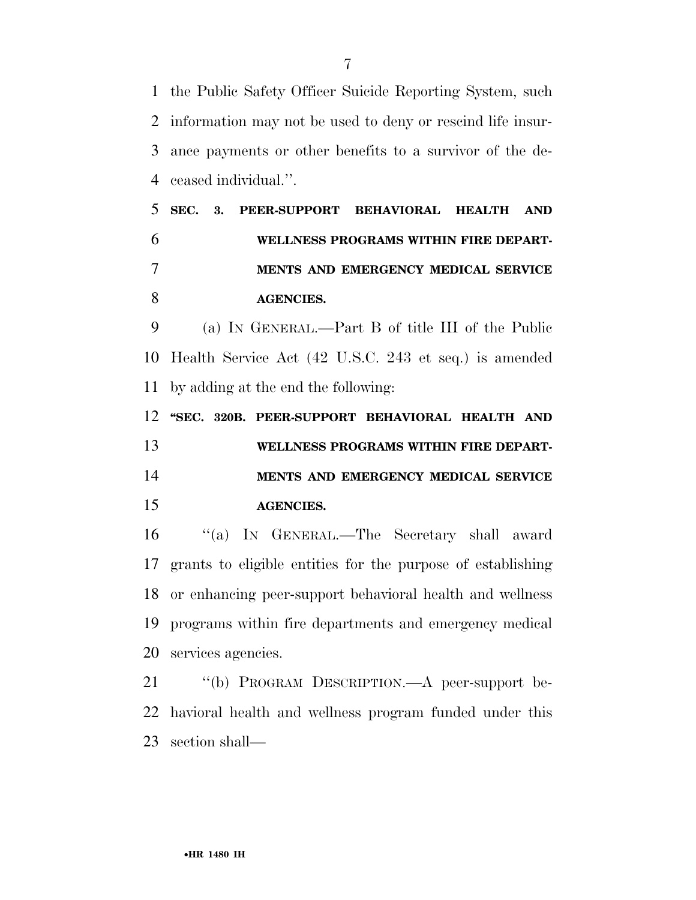the Public Safety Officer Suicide Reporting System, such information may not be used to deny or rescind life insur- ance payments or other benefits to a survivor of the de-ceased individual.''.

 **SEC. 3. PEER-SUPPORT BEHAVIORAL HEALTH AND WELLNESS PROGRAMS WITHIN FIRE DEPART- MENTS AND EMERGENCY MEDICAL SERVICE AGENCIES.** 

 (a) IN GENERAL.—Part B of title III of the Public Health Service Act (42 U.S.C. 243 et seq.) is amended by adding at the end the following:

 **''SEC. 320B. PEER-SUPPORT BEHAVIORAL HEALTH AND WELLNESS PROGRAMS WITHIN FIRE DEPART- MENTS AND EMERGENCY MEDICAL SERVICE AGENCIES.** 

 ''(a) IN GENERAL.—The Secretary shall award grants to eligible entities for the purpose of establishing or enhancing peer-support behavioral health and wellness programs within fire departments and emergency medical services agencies.

 ''(b) PROGRAM DESCRIPTION.—A peer-support be- havioral health and wellness program funded under this section shall—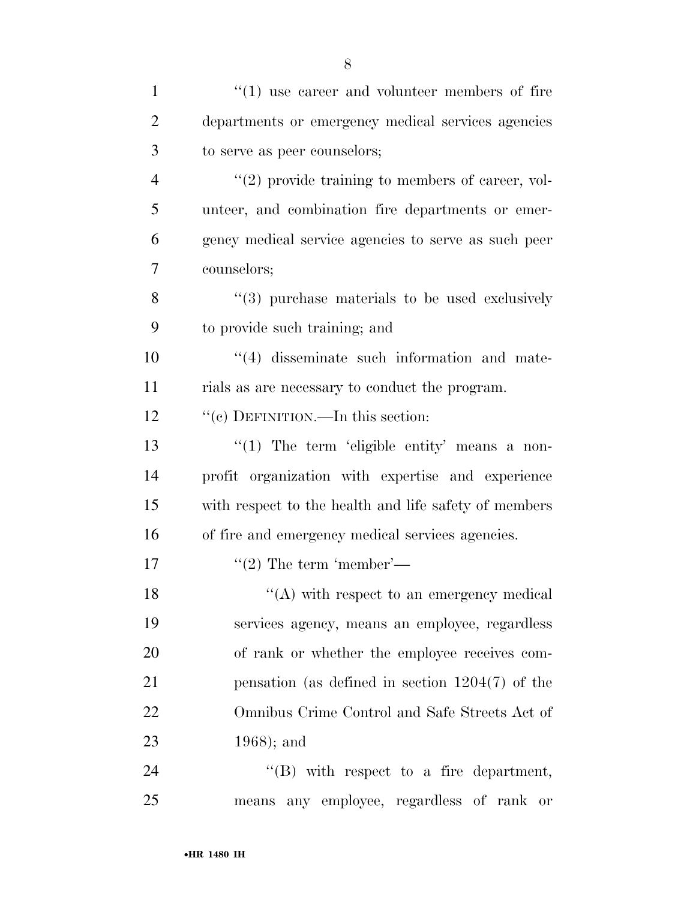| $\mathbf{1}$   | $\cdot$ (1) use career and volunteer members of fire  |
|----------------|-------------------------------------------------------|
| $\overline{2}$ | departments or emergency medical services agencies    |
| 3              | to serve as peer counselors;                          |
| $\overline{4}$ | $\lq(2)$ provide training to members of career, vol-  |
| 5              | unteer, and combination fire departments or emer-     |
| 6              | gency medical service agencies to serve as such peer  |
| $\overline{7}$ | counselors;                                           |
| 8              | "(3) purchase materials to be used exclusively        |
| 9              | to provide such training; and                         |
| 10             | $\cdot$ (4) disseminate such information and mate-    |
| 11             | rials as are necessary to conduct the program.        |
| 12             | "(c) DEFINITION.—In this section:                     |
| 13             | $\lq(1)$ The term 'eligible entity' means a non-      |
| 14             | profit organization with expertise and experience     |
| 15             | with respect to the health and life safety of members |
| 16             | of fire and emergency medical services agencies.      |
| 17             | $\lq(2)$ The term 'member'—                           |
| 18             | $\lq\lq$ with respect to an emergency medical         |
| 19             | services agency, means an employee, regardless        |
| 20             | of rank or whether the employee receives com-         |
| 21             | pensation (as defined in section $1204(7)$ of the     |
| 22             | Omnibus Crime Control and Safe Streets Act of         |
| 23             | $1968$ ; and                                          |
| 24             | $\lq\lq$ with respect to a fire department,           |
| 25             | means any employee, regardless of rank or             |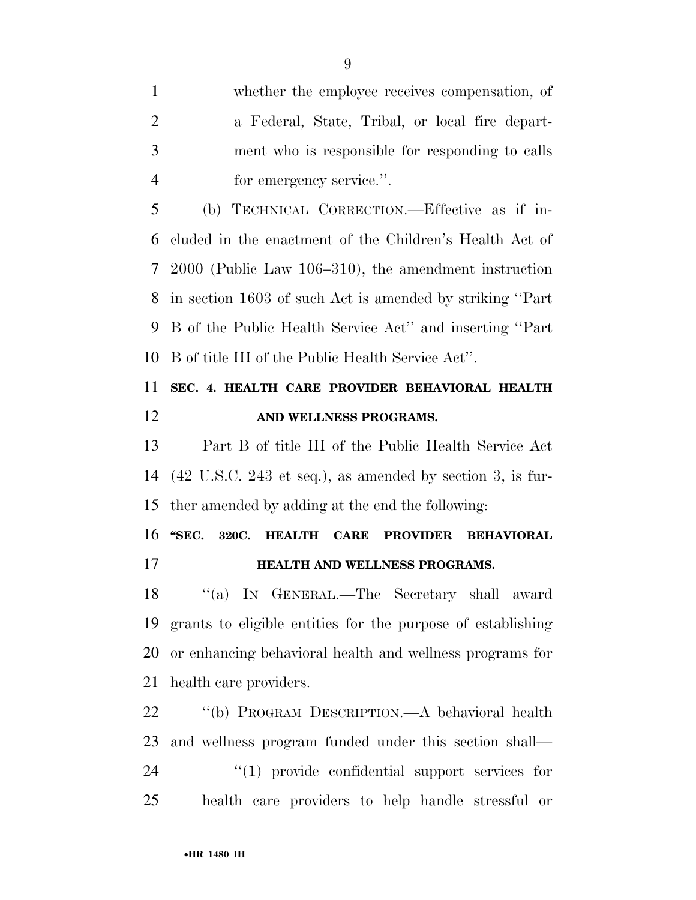whether the employee receives compensation, of a Federal, State, Tribal, or local fire depart- ment who is responsible for responding to calls for emergency service.''.

 (b) TECHNICAL CORRECTION.—Effective as if in- cluded in the enactment of the Children's Health Act of 2000 (Public Law 106–310), the amendment instruction in section 1603 of such Act is amended by striking ''Part B of the Public Health Service Act'' and inserting ''Part B of title III of the Public Health Service Act''.

### **SEC. 4. HEALTH CARE PROVIDER BEHAVIORAL HEALTH AND WELLNESS PROGRAMS.**

 Part B of title III of the Public Health Service Act (42 U.S.C. 243 et seq.), as amended by section 3, is fur-ther amended by adding at the end the following:

 **''SEC. 320C. HEALTH CARE PROVIDER BEHAVIORAL HEALTH AND WELLNESS PROGRAMS.** 

 ''(a) IN GENERAL.—The Secretary shall award grants to eligible entities for the purpose of establishing or enhancing behavioral health and wellness programs for health care providers.

 ''(b) PROGRAM DESCRIPTION.—A behavioral health and wellness program funded under this section shall—  $(1)$  provide confidential support services for health care providers to help handle stressful or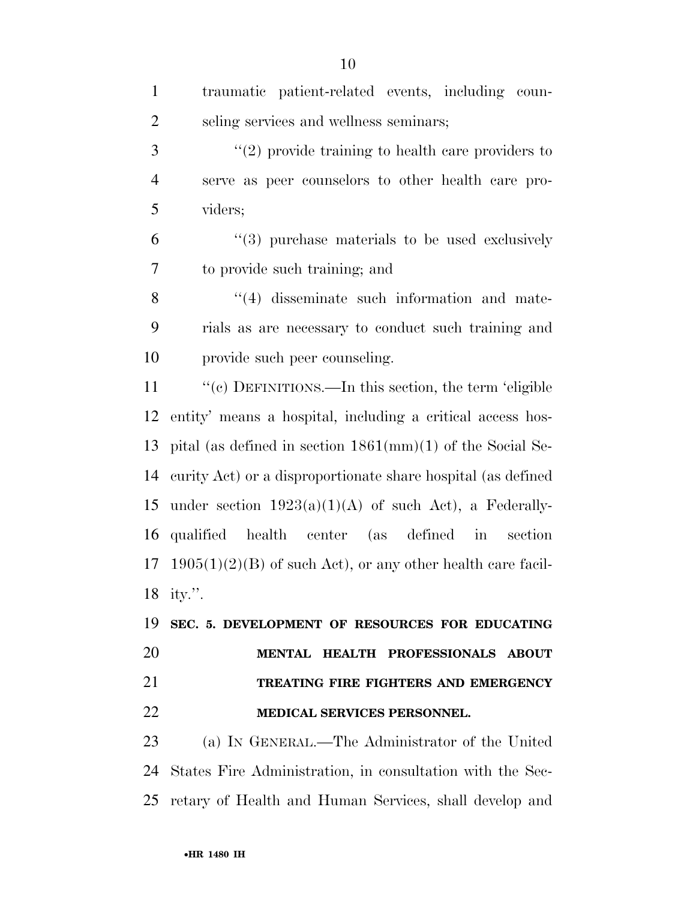| $\mathbf{1}$   | traumatic patient-related events, including coun-                    |
|----------------|----------------------------------------------------------------------|
| $\overline{2}$ | seling services and wellness seminars;                               |
| 3              | $\lq(2)$ provide training to health care providers to                |
| $\overline{4}$ | serve as peer counselors to other health care pro-                   |
| 5              | viders;                                                              |
| 6              | $(3)$ purchase materials to be used exclusively                      |
| 7              | to provide such training; and                                        |
| 8              | $\cdot$ (4) disseminate such information and mate-                   |
| 9              | rials as are necessary to conduct such training and                  |
| 10             | provide such peer counseling.                                        |
| 11             | "(c) DEFINITIONS.—In this section, the term 'eligible                |
| 12             | entity' means a hospital, including a critical access hos-           |
| 13             | pital (as defined in section $1861 \text{(mm)}(1)$ of the Social Se- |
| 14             | curity Act) or a disproportionate share hospital (as defined         |
| 15             | under section $1923(a)(1)(A)$ of such Act), a Federally-             |
| 16             | qualified health center (as defined in<br>section                    |
| 17             | $1905(1)(2)(B)$ of such Act), or any other health care facil-        |
|                | 18 ity.".                                                            |
| 19             | SEC. 5. DEVELOPMENT OF RESOURCES FOR EDUCATING                       |
| 20             | MENTAL HEALTH PROFESSIONALS ABOUT                                    |
| 21             | TREATING FIRE FIGHTERS AND EMERGENCY                                 |
| 22             | MEDICAL SERVICES PERSONNEL.                                          |
| 23             | (a) IN GENERAL.—The Administrator of the United                      |
| 24             | States Fire Administration, in consultation with the Sec-            |
| 25             | retary of Health and Human Services, shall develop and               |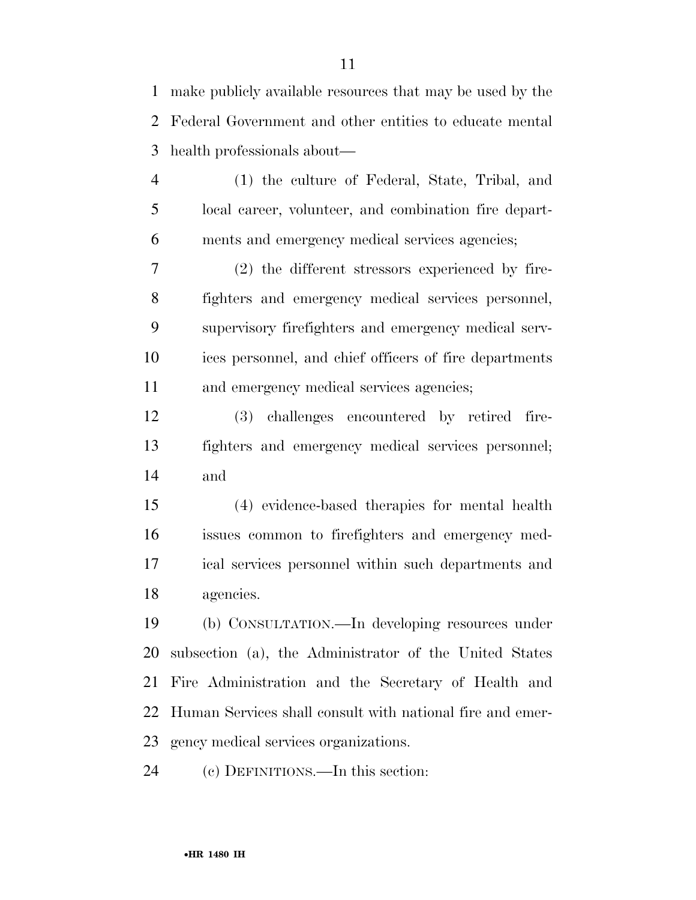make publicly available resources that may be used by the Federal Government and other entities to educate mental health professionals about—

 (1) the culture of Federal, State, Tribal, and local career, volunteer, and combination fire depart-ments and emergency medical services agencies;

 (2) the different stressors experienced by fire- fighters and emergency medical services personnel, supervisory firefighters and emergency medical serv- ices personnel, and chief officers of fire departments and emergency medical services agencies;

 (3) challenges encountered by retired fire- fighters and emergency medical services personnel; and

 (4) evidence-based therapies for mental health issues common to firefighters and emergency med- ical services personnel within such departments and agencies.

 (b) CONSULTATION.—In developing resources under subsection (a), the Administrator of the United States Fire Administration and the Secretary of Health and Human Services shall consult with national fire and emer-gency medical services organizations.

(c) DEFINITIONS.—In this section: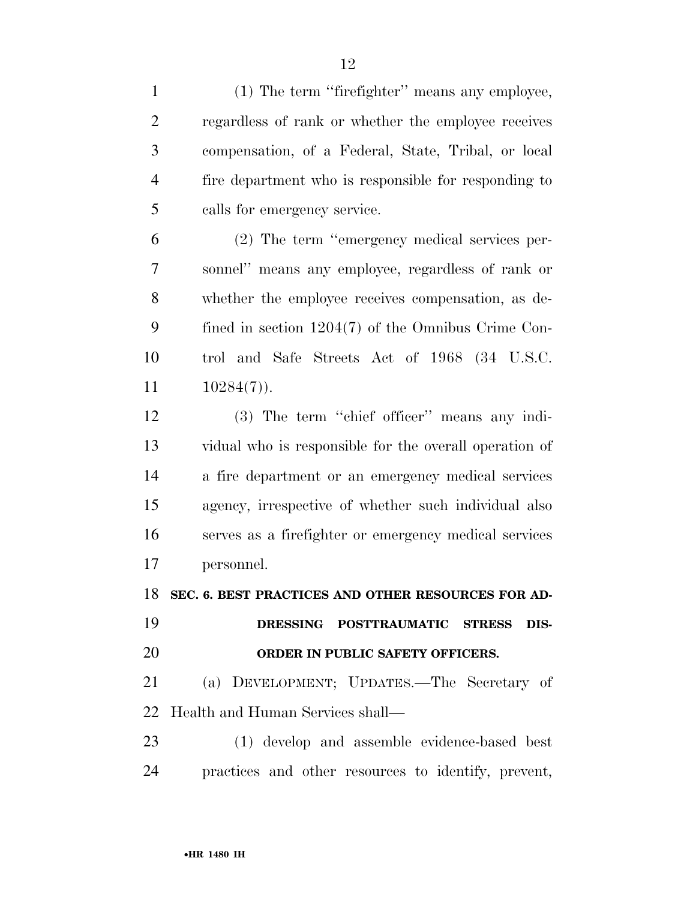(1) The term ''firefighter'' means any employee, regardless of rank or whether the employee receives compensation, of a Federal, State, Tribal, or local fire department who is responsible for responding to calls for emergency service.

 (2) The term ''emergency medical services per- sonnel'' means any employee, regardless of rank or whether the employee receives compensation, as de- fined in section 1204(7) of the Omnibus Crime Con- trol and Safe Streets Act of 1968 (34 U.S.C.  $10284(7)$ .

 (3) The term ''chief officer'' means any indi- vidual who is responsible for the overall operation of a fire department or an emergency medical services agency, irrespective of whether such individual also serves as a firefighter or emergency medical services personnel.

**SEC. 6. BEST PRACTICES AND OTHER RESOURCES FOR AD-**

## **DRESSING POSTTRAUMATIC STRESS DIS-ORDER IN PUBLIC SAFETY OFFICERS.**

 (a) DEVELOPMENT; UPDATES.—The Secretary of Health and Human Services shall—

 (1) develop and assemble evidence-based best practices and other resources to identify, prevent,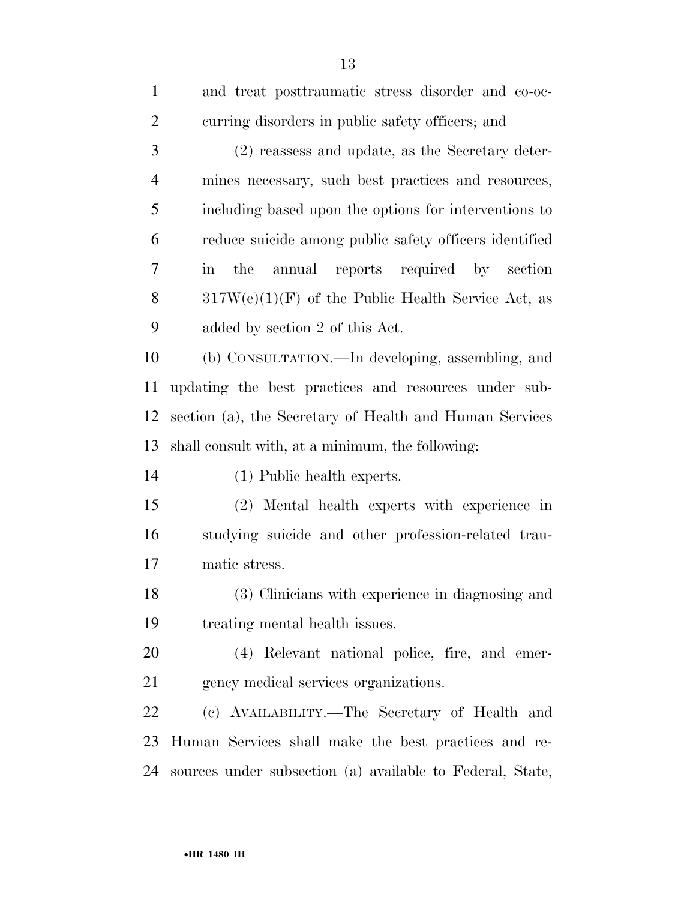| $\mathbf{1}$   | and treat posttraumatic stress disorder and co-oc-               |
|----------------|------------------------------------------------------------------|
| $\overline{2}$ | curring disorders in public safety officers; and                 |
| 3              | $(2)$ reassess and update, as the Secretary deter-               |
| $\overline{4}$ | mines necessary, such best practices and resources,              |
| 5              | including based upon the options for interventions to            |
| 6              | reduce suicide among public safety officers identified           |
| 7              | annual reports required by section<br>the<br>$\operatorname{in}$ |
| 8              | $317W(e)(1)(F)$ of the Public Health Service Act, as             |
| 9              | added by section 2 of this Act.                                  |
| 10             | (b) CONSULTATION.—In developing, assembling, and                 |
| 11             | updating the best practices and resources under sub-             |
| 12             | section (a), the Secretary of Health and Human Services          |
| 13             | shall consult with, at a minimum, the following:                 |
| 14             | (1) Public health experts.                                       |
| 15             | (2) Mental health experts with experience in                     |
| 16             | studying suicide and other profession-related trau-              |
| 17             | matic stress.                                                    |
| 18             | (3) Clinicians with experience in diagnosing and                 |
| 19             | treating mental health issues.                                   |
| 20             | (4) Relevant national police, fire, and emer-                    |
| 21             | gency medical services organizations.                            |
| 22             | (c) AVAILABILITY.—The Secretary of Health and                    |
| 23             | Human Services shall make the best practices and re-             |
| 24             | sources under subsection (a) available to Federal, State,        |
|                |                                                                  |